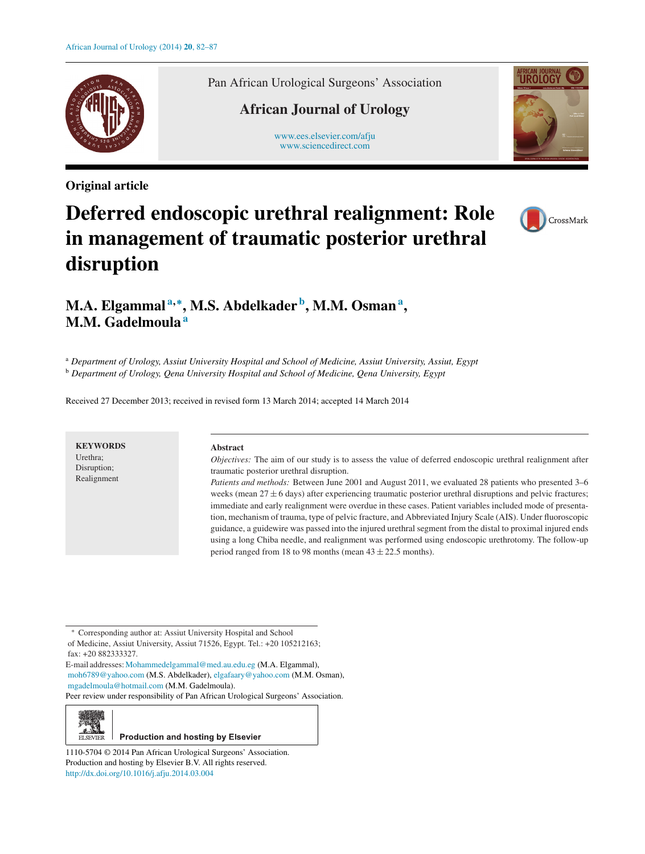

**Original article**

Pan African Urological Surgeons' Association

# **African Journal of Urology**

[www.ees.elsevier.com/afju](http://www.ees.elsevier.com/afju) [www.sciencedirect.com](http://www.sciencedirect.com/science/journal/11105704)



# **Deferred endoscopic urethral realignment: Role in management of traumatic posterior urethral disruption**



# **M.A. Elgammal <sup>a</sup>***,***∗, M.S. Abdelkader b, M.M. Osmana , M.M. Gadelmoula<sup>a</sup>**

<sup>a</sup> *Department of Urology, Assiut University Hospital and School of Medicine, Assiut University, Assiut, Egypt* <sup>b</sup> *Department of Urology, Qena University Hospital and School of Medicine, Qena University, Egypt*

Received 27 December 2013; received in revised form 13 March 2014; accepted 14 March 2014

**KEYWORDS** Urethra; Disruption; Realignment

#### **Abstract**

*Objectives:* The aim of our study is to assess the value of deferred endoscopic urethral realignment after traumatic posterior urethral disruption.

*Patients and methods:* Between June 2001 and August 2011, we evaluated 28 patients who presented 3–6 weeks (mean  $27 \pm 6$  days) after experiencing traumatic posterior urethral disruptions and pelvic fractures; immediate and early realignment were overdue in these cases. Patient variables included mode of presentation, mechanism of trauma, type of pelvic fracture, and Abbreviated Injury Scale (AIS). Under fluoroscopic guidance, a guidewire was passed into the injured urethral segment from the distal to proximal injured ends using a long Chiba needle, and realignment was performed using endoscopic urethrotomy. The follow-up period ranged from 18 to 98 months (mean  $43 \pm 22.5$  months).

∗ Corresponding author at: Assiut University Hospital and School of Medicine, Assiut University, Assiut 71526, Egypt. Tel.: +20 105212163; fax: +20 882333327.

E-mail addresses:[Mohammedelgammal@med.au.edu.eg](mailto:Mohammedelgammal@med.au.edu.eg) (M.A. Elgammal), [moh6789@yahoo.com](mailto:moh6789@yahoo.com) (M.S. Abdelkader), [elgafaary@yahoo.com](mailto:elgafaary@yahoo.com) (M.M. Osman), [mgadelmoula@hotmail.com](mailto:mgadelmoula@hotmail.com) (M.M. Gadelmoula).

Peer review under responsibility of Pan African Urological Surgeons' Association.



# **Production and hosting by Elsevier**

1110-5704 © 2014 Pan African Urological Surgeons' Association. Production and hosting by Elsevier B.V. All rights reserved. [http://dx.doi.org/10.1016/j.afju.2014.03.004](dx.doi.org/10.1016/j.afju.2014.03.004)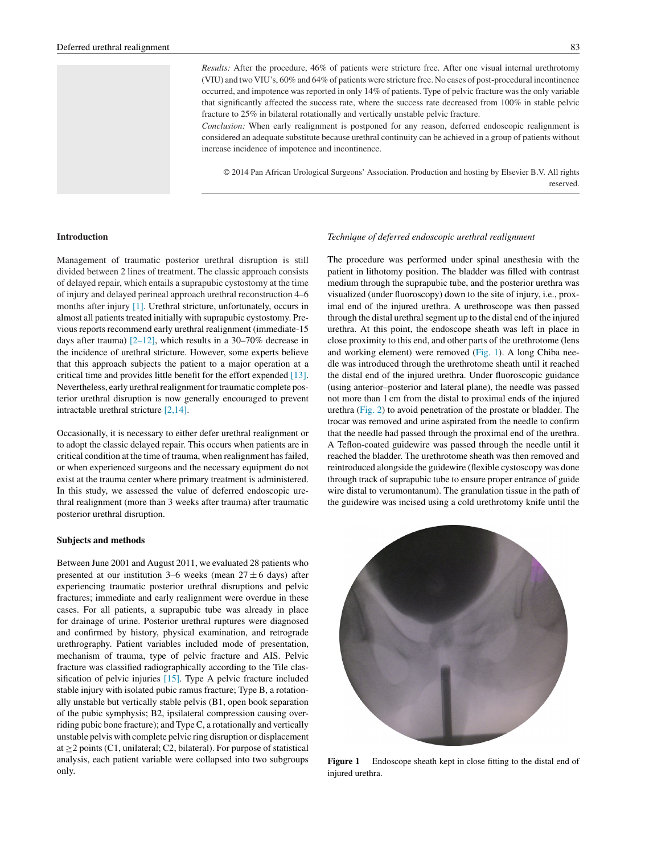*Results:* After the procedure, 46% of patients were stricture free. After one visual internal urethrotomy (VIU) and two VIU's, 60% and 64% of patients were stricture free. No cases of post-procedural incontinence occurred, and impotence was reported in only 14% of patients. Type of pelvic fracture was the only variable that significantly affected the success rate, where the success rate decreased from 100% in stable pelvic fracture to 25% in bilateral rotationally and vertically unstable pelvic fracture.

*Conclusion:* When early realignment is postponed for any reason, deferred endoscopic realignment is considered an adequate substitute because urethral continuity can be achieved in a group of patients without increase incidence of impotence and incontinence.

© 2014 Pan African Urological Surgeons' Association. Production and hosting by Elsevier B.V. All rights reserved.

#### **Introduction**

Management of traumatic posterior urethral disruption is still divided between 2 lines of treatment. The classic approach consists of delayed repair, which entails a suprapubic cystostomy at the time of injury and delayed perineal approach urethral reconstruction 4–6 months after injury [\[1\]. U](#page-4-0)rethral stricture, unfortunately, occurs in almost all patients treated initially with suprapubic cystostomy. Previous reports recommend early urethral realignment (immediate-15 days after trauma)  $[2-12]$ , which results in a 30–70% decrease in the incidence of urethral stricture. However, some experts believe that this approach subjects the patient to a major operation at a critical time and provides little benefit for the effort expended [\[13\].](#page-4-0) Nevertheless, early urethral realignment for traumatic complete posterior urethral disruption is now generally encouraged to prevent intractable urethral stricture [\[2,14\].](#page-4-0)

Occasionally, it is necessary to either defer urethral realignment or to adopt the classic delayed repair. This occurs when patients are in critical condition at the time of trauma, when realignment has failed, or when experienced surgeons and the necessary equipment do not exist at the trauma center where primary treatment is administered. In this study, we assessed the value of deferred endoscopic urethral realignment (more than 3 weeks after trauma) after traumatic posterior urethral disruption.

#### **Subjects and methods**

Between June 2001 and August 2011, we evaluated 28 patients who presented at our institution 3–6 weeks (mean  $27 \pm 6$  days) after experiencing traumatic posterior urethral disruptions and pelvic fractures; immediate and early realignment were overdue in these cases. For all patients, a suprapubic tube was already in place for drainage of urine. Posterior urethral ruptures were diagnosed and confirmed by history, physical examination, and retrograde urethrography. Patient variables included mode of presentation, mechanism of trauma, type of pelvic fracture and AIS. Pelvic fracture was classified radiographically according to the Tile classification of pelvic injuries [\[15\].](#page-4-0) Type A pelvic fracture included stable injury with isolated pubic ramus fracture; Type B, a rotationally unstable but vertically stable pelvis (B1, open book separation of the pubic symphysis; B2, ipsilateral compression causing overriding pubic bone fracture); and Type C, a rotationally and vertically unstable pelvis with complete pelvic ring disruption or displacement at  $\geq$  2 points (C1, unilateral; C2, bilateral). For purpose of statistical analysis, each patient variable were collapsed into two subgroups only.

#### *Technique of deferred endoscopic urethral realignment*

The procedure was performed under spinal anesthesia with the patient in lithotomy position. The bladder was filled with contrast medium through the suprapubic tube, and the posterior urethra was visualized (under fluoroscopy) down to the site of injury, i.e., proximal end of the injured urethra. A urethroscope was then passed through the distal urethral segment up to the distal end of the injured urethra. At this point, the endoscope sheath was left in place in close proximity to this end, and other parts of the urethrotome (lens and working element) were removed (Fig. 1). A long Chiba needle was introduced through the urethrotome sheath until it reached the distal end of the injured urethra. Under fluoroscopic guidance (using anterior–posterior and lateral plane), the needle was passed not more than 1 cm from the distal to proximal ends of the injured urethra [\(Fig. 2\)](#page-2-0) to avoid penetration of the prostate or bladder. The trocar was removed and urine aspirated from the needle to confirm that the needle had passed through the proximal end of the urethra. A Teflon-coated guidewire was passed through the needle until it reached the bladder. The urethrotome sheath was then removed and reintroduced alongside the guidewire (flexible cystoscopy was done through track of suprapubic tube to ensure proper entrance of guide wire distal to verumontanum). The granulation tissue in the path of the guidewire was incised using a cold urethrotomy knife until the



**Figure 1** Endoscope sheath kept in close fitting to the distal end of injured urethra.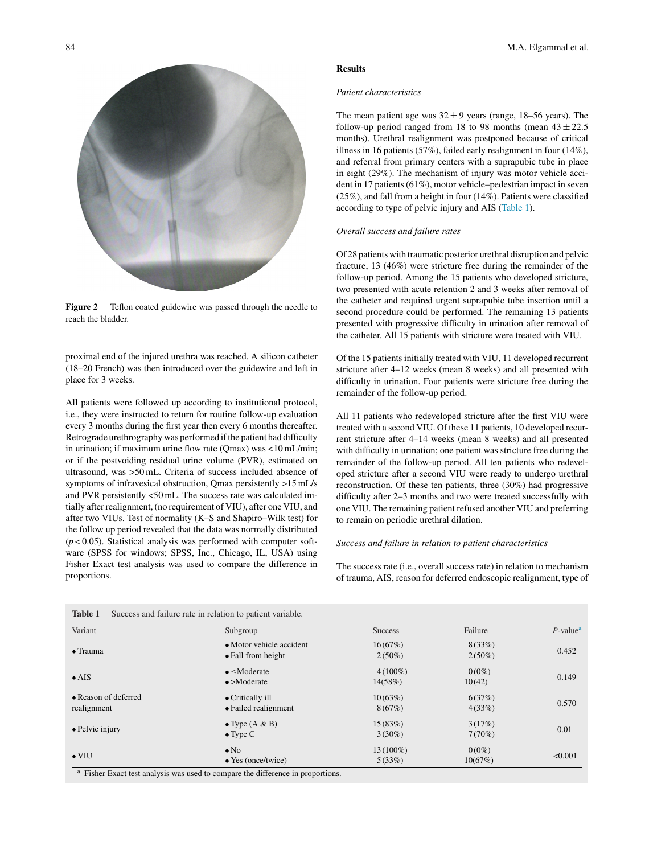<span id="page-2-0"></span>

Figure 2 Teflon coated guidewire was passed through the needle to reach the bladder.

proximal end of the injured urethra was reached. A silicon catheter (18–20 French) was then introduced over the guidewire and left in place for 3 weeks.

All patients were followed up according to institutional protocol, i.e., they were instructed to return for routine follow-up evaluation every 3 months during the first year then every 6 months thereafter. Retrograde urethrography was performed if the patient had difficulty in urination; if maximum urine flow rate (Qmax) was <10 mL/min; or if the postvoiding residual urine volume (PVR), estimated on ultrasound, was >50 mL. Criteria of success included absence of symptoms of infravesical obstruction, Qmax persistently >15 mL/s and PVR persistently <50 mL. The success rate was calculated initially after realignment, (no requirement of VIU), after one VIU, and after two VIUs. Test of normality (K–S and Shapiro–Wilk test) for the follow up period revealed that the data was normally distributed  $(p<0.05)$ . Statistical analysis was performed with computer software (SPSS for windows; SPSS, Inc., Chicago, IL, USA) using Fisher Exact test analysis was used to compare the difference in proportions.

# **Results**

#### *Patient characteristics*

The mean patient age was  $32 \pm 9$  years (range, 18–56 years). The follow-up period ranged from 18 to 98 months (mean  $43 \pm 22.5$ ) months). Urethral realignment was postponed because of critical illness in 16 patients (57%), failed early realignment in four (14%), and referral from primary centers with a suprapubic tube in place in eight (29%). The mechanism of injury was motor vehicle accident in 17 patients (61%), motor vehicle–pedestrian impact in seven (25%), and fall from a height in four (14%). Patients were classified according to type of pelvic injury and AIS (Table 1).

## *Overall success and failure rates*

Of 28 patients with traumatic posterior urethral disruption and pelvic fracture, 13 (46%) were stricture free during the remainder of the follow-up period. Among the 15 patients who developed stricture, two presented with acute retention 2 and 3 weeks after removal of the catheter and required urgent suprapubic tube insertion until a second procedure could be performed. The remaining 13 patients presented with progressive difficulty in urination after removal of the catheter. All 15 patients with stricture were treated with VIU.

Of the 15 patients initially treated with VIU, 11 developed recurrent stricture after 4–12 weeks (mean 8 weeks) and all presented with difficulty in urination. Four patients were stricture free during the remainder of the follow-up period.

All 11 patients who redeveloped stricture after the first VIU were treated with a second VIU. Of these 11 patients, 10 developed recurrent stricture after 4–14 weeks (mean 8 weeks) and all presented with difficulty in urination; one patient was stricture free during the remainder of the follow-up period. All ten patients who redeveloped stricture after a second VIU were ready to undergo urethral reconstruction. Of these ten patients, three (30%) had progressive difficulty after 2–3 months and two were treated successfully with one VIU. The remaining patient refused another VIU and preferring to remain on periodic urethral dilation.

## *Success and failure in relation to patient characteristics*

The success rate (i.e., overall success rate) in relation to mechanism of trauma, AIS, reason for deferred endoscopic realignment, type of

| Variant                 | Subgroup                                                                                                   | <b>Success</b> | Failure   | $P$ -value <sup>a</sup> |
|-------------------------|------------------------------------------------------------------------------------------------------------|----------------|-----------|-------------------------|
| $\bullet$ Trauma        | • Motor vehicle accident                                                                                   | 16(67%)        | 8(33%)    | 0.452                   |
|                         | $\bullet$ Fall from height                                                                                 | $2(50\%)$      | $2(50\%)$ |                         |
|                         | $\bullet$ <moderate< td=""><td><math>4(100\%)</math></td><td><math>0(0\%)</math></td><td></td></moderate<> | $4(100\%)$     | $0(0\%)$  |                         |
| $\bullet$ AIS           | $\bullet$ >Moderate                                                                                        | 14(58%)        | 10(42)    | 0.149                   |
| • Reason of deferred    | • Critically ill                                                                                           | 10(63%)        | 6(37%)    |                         |
| realignment             | • Failed realignment                                                                                       | 8(67%)         | 4(33%)    | 0.570                   |
|                         | $\bullet$ Type (A & B)                                                                                     | 15(83%)        | 3(17%)    |                         |
| $\bullet$ Pelvic injury | $\bullet$ Type C                                                                                           | $3(30\%)$      | 7(70%)    | 0.01                    |
|                         | $\bullet$ No                                                                                               | 13 (100%)      | $0(0\%)$  |                         |
| $\bullet$ VIU           | $\bullet$ Yes (once/twice)                                                                                 | 5(33%)         | 10(67%)   | < 0.001                 |

**Table 1** Success and failure rate in relation to patient variable.

<sup>a</sup> Fisher Exact test analysis was used to compare the difference in proportions.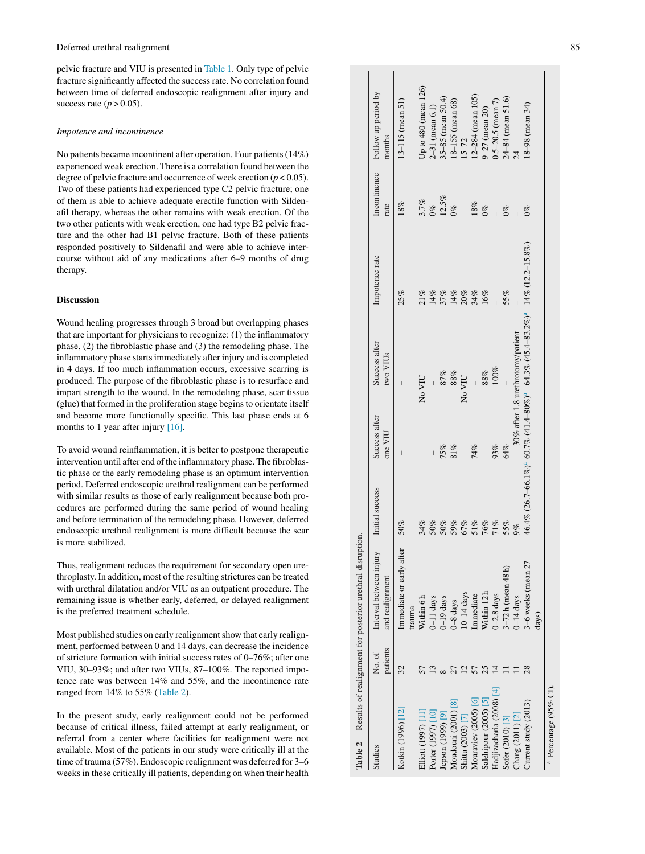pelvic fracture and VIU is presented in [Table 1. O](#page-2-0)nly type of pelvic fracture significantly affected the success rate. No correlation found between time of deferred endoscopic realignment after injury and success rate  $(p > 0.05)$ .

#### *Impotence and incontinence*

No patients became incontinent after operation. Four patients (14%) experienced weak erection. There is a correlation found between the degree of pelvic fracture and occurrence of week erection  $(p < 0.05)$ . Two of these patients had experienced type C2 pelvic fracture; one of them is able to achieve adequate erectile function with Sildenafil therapy, whereas the other remains with weak erection. Of the two other patients with weak erection, one had type B2 pelvic fracture and the other had B1 pelvic fracture. Both of these patients responded positively to Sildenafil and were able to achieve intercourse without aid of any medications after 6–9 months of drug therapy.

### **Discussion**

Wound healing progresses through 3 broad but overlapping phases that are important for physicians to recognize: (1) the inflammatory phase, (2) the fibroblastic phase and (3) the remodeling phase. The inflammatory phase starts immediately after injury and is completed in 4 days. If too much inflammation occurs, excessive scarring is produced. The purpose of the fibroblastic phase is to resurface and impart strength to the wound. In the remodeling phase, scar tissue (glue) that formed in the proliferation stage begins to orientate itself and become more functionally specific. This last phase ends at 6 months to 1 year after injury [\[16\]](#page-4-0) .

To avoid wound reinflammation, it is better to postpone therapeutic intervention until after end of the inflammatory phase. The fibroblastic phase or the early remodeling phase is an optimum intervention period. Deferred endoscopic urethral realignment can be performed with similar results as those of early realignment because both procedures are performed during the same period of wound healing and before termination of the remodeling phase. However, deferred endoscopic urethral realignment is more difficult because the scar is more stabilized.

Thus, realignment reduces the requirement for secondary open urethroplasty. In addition, most of the resulting strictures can be treated with urethral dilatation and/or VIU as an outpatient procedure. The remaining issue is whether early, deferred, or delayed realignment is the preferred treatment schedule.

Most published studies on early realignment show that early realignment, performed between 0 and 14 days, can decrease the incidence of stricture formation with initial success rates of 0–76%; after one VIU, 30–93%; and after two VIUs, 87–100%. The reported impotence rate was between 14% and 55%, and the incontinence rate ranged from 14% to 55% (Table 2).

In the present study, early realignment could not be performed because of critical illness, failed attempt at early realignment, or referral from a center where facilities for realignment were not available. Most of the patients in our study were critically ill at the time of trauma (57%). Endoscopic realignment was deferred for 3–6 weeks in these critically ill patients, depending on when their health

|                             |                    | Table 2 Results of realignment for posterior urethral disruption. |                 |                          |                                                                                                             |                |                      |                               |
|-----------------------------|--------------------|-------------------------------------------------------------------|-----------------|--------------------------|-------------------------------------------------------------------------------------------------------------|----------------|----------------------|-------------------------------|
| Studies                     | patients<br>No. of | Interval between injury<br>and realignment                        | Initial success | Success after<br>one VIU | Success after<br>two VIUs                                                                                   | Impotence rate | Incontinence<br>rate | Follow up period by<br>months |
| Kotkin (1996) [12]          | 32                 | Immediate or early after                                          | 50%             | $\overline{\phantom{a}}$ |                                                                                                             | 25%            | 18%                  | $13 - 115$ (mean 51)          |
| Elliott (1997) [11          |                    | Within 6h<br>trauma                                               | 34%             |                          | No VIU                                                                                                      | 21%            | 3.7%                 | Up to 480 (mean 126)          |
| Porter (1997) [10]          |                    | $0 - 11$ days                                                     | 50%             |                          |                                                                                                             | $14\%$         | 0%                   | $2-31$ (mean $6.1$ )          |
| lepson (1999) [9]           |                    | $0 - 19$ days                                                     | 50%             | $75%$<br>81%             |                                                                                                             | 37%            | 12.5%                | 35-85 (mean 50.4)             |
| Moudouni (2001) [8]         |                    | 0-8 days                                                          | 59%             |                          | $\substack{87\% \\ 88\%}$                                                                                   | 14%<br>20%     | $0\%$                | $18 - 155$ (mean $68$ )       |
| Shittu (2003) [7]           |                    | $10 - 14$ days                                                    | 67%             |                          | No VIU                                                                                                      |                | $\frac{1}{4}$        | $15-72$                       |
| Mouraviev (2005) [6]        |                    | Immediate                                                         | 51%             | 74%                      |                                                                                                             | 34%            | $18\%$               | $12 - 284$ (mean 105)         |
| Salehipour (2005) [5]       |                    | Within 12h                                                        | 76%             |                          | $88\%$                                                                                                      | 16%            | $0\%$                | 9-27 (mean 20)                |
| Hadjizacharia (2008) [4]    |                    | $0 - 2.8$ days                                                    | 71%             | 93%                      | 100%                                                                                                        |                |                      | $0.5 - 20.5$ (mean 7)         |
| Sofer (2010) [3]            |                    | 3-72h (mean 48h)                                                  | 55%             | 64%                      |                                                                                                             | 55%            | $0\%$                | 24-84 (mean 51.6)             |
| Chang (2011) [2]            |                    | $0-14$ days                                                       | 9%              |                          | 30% after 1.8 urethrotomy/patient                                                                           |                |                      |                               |
| Current study $(2013)$      |                    | 3-6 weeks (mean 27<br>days)                                       |                 |                          | $46.4\%$ $(26.7-66.1\%)^{a}$ $60.7\%$ $(41.4-80\%)^{a}$ $64.3\%$ $(45.4-83.2\%)^{a}$ $14\%$ $(12.2-15.8\%)$ |                | $0\%$                | 18-98 (mean 34)               |
| $^{a}$ Percentage (95% CI). |                    |                                                                   |                 |                          |                                                                                                             |                |                      |                               |

 $T_{\rm{eff}}$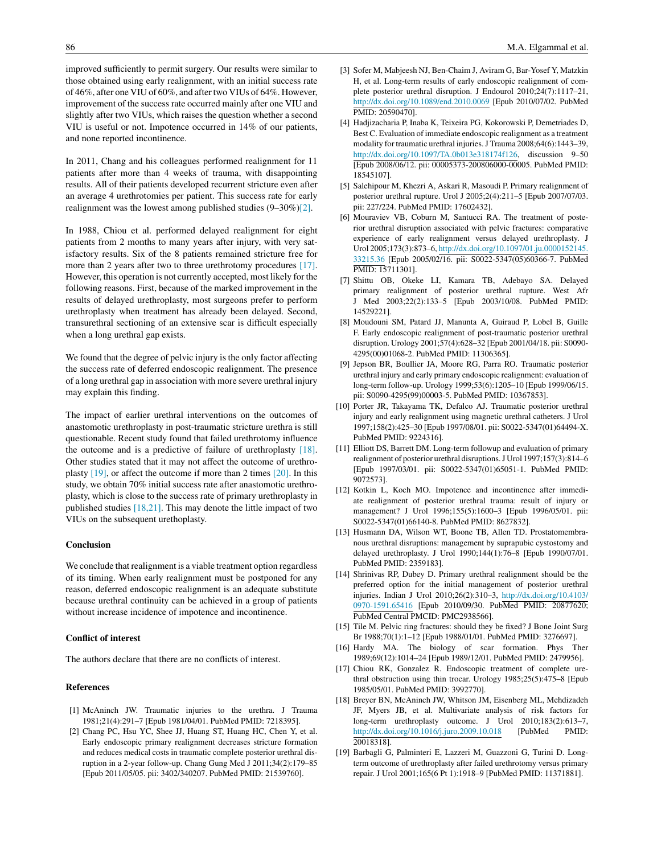<span id="page-4-0"></span>improved sufficiently to permit surgery. Our results were similar to those obtained using early realignment, with an initial success rate of 46%, after one VIU of 60%, and after two VIUs of 64%. However, improvement of the success rate occurred mainly after one VIU and slightly after two VIUs, which raises the question whether a second VIU is useful or not. Impotence occurred in 14% of our patients, and none reported incontinence.

In 2011, Chang and his colleagues performed realignment for 11 patients after more than 4 weeks of trauma, with disappointing results. All of their patients developed recurrent stricture even after an average 4 urethrotomies per patient. This success rate for early realignment was the lowest among published studies (9–30%)[2].

In 1988, Chiou et al. performed delayed realignment for eight patients from 2 months to many years after injury, with very satisfactory results. Six of the 8 patients remained stricture free for more than 2 years after two to three urethrotomy procedures [17]. However, this operation is not currently accepted, most likely for the following reasons. First, because of the marked improvement in the results of delayed urethroplasty, most surgeons prefer to perform urethroplasty when treatment has already been delayed. Second, transurethral sectioning of an extensive scar is difficult especially when a long urethral gap exists.

We found that the degree of pelvic injury is the only factor affecting the success rate of deferred endoscopic realignment. The presence of a long urethral gap in association with more severe urethral injury may explain this finding.

The impact of earlier urethral interventions on the outcomes of anastomotic urethroplasty in post-traumatic stricture urethra is still questionable. Recent study found that failed urethrotomy influence the outcome and is a predictive of failure of urethroplasty [18]. Other studies stated that it may not affect the outcome of urethroplasty  $[19]$ , or affect the outcome if more than 2 times  $[20]$ . In this study, we obtain 70% initial success rate after anastomotic urethroplasty, which is close to the success rate of primary urethroplasty in published studies [18,21]. This may denote the little impact of two VIUs on the subsequent urethoplasty.

#### **Conclusion**

We conclude that realignment is a viable treatment option regardless of its timing. When early realignment must be postponed for any reason, deferred endoscopic realignment is an adequate substitute because urethral continuity can be achieved in a group of patients without increase incidence of impotence and incontinence.

#### **Conflict of interest**

The authors declare that there are no conflicts of interest.

#### **References**

- [1] McAninch JW. Traumatic injuries to the urethra. J Trauma 1981;21(4):291–7 [Epub 1981/04/01. PubMed PMID: 7218395].
- [2] Chang PC, Hsu YC, Shee JJ, Huang ST, Huang HC, Chen Y, et al. Early endoscopic primary realignment decreases stricture formation and reduces medical costs in traumatic complete posterior urethral disruption in a 2-year follow-up. Chang Gung Med J 2011;34(2):179–85 [Epub 2011/05/05. pii: 3402/340207. PubMed PMID: 21539760].
- [3] Sofer M, Mabjeesh NJ, Ben-Chaim J, Aviram G, Bar-Yosef Y, Matzkin H, et al. Long-term results of early endoscopic realignment of complete posterior urethral disruption. J Endourol 2010;24(7):1117–21, [http://dx.doi.org/10.1089/end.2010.0069](dx.doi.org/10.1089/end.2010.0069) [Epub 2010/07/02. PubMed PMID: 20590470].
- [4] Hadjizacharia P, Inaba K, Teixeira PG, Kokorowski P, Demetriades D, Best C. Evaluation of immediate endoscopic realignment as a treatment modality for traumatic urethral injuries. J Trauma 2008;64(6):1443–39, [http://dx.doi.org/10.1097/TA.0b013e318174f126,](dx.doi.org/10.1097/TA.0b013e318174f126) discussion 9-50 [Epub 2008/06/12. pii: 00005373-200806000-00005. PubMed PMID: 18545107].
- [5] Salehipour M, Khezri A, Askari R, Masoudi P. Primary realignment of posterior urethral rupture. Urol J 2005;2(4):211–5 [Epub 2007/07/03. pii: 227/224. PubMed PMID: 17602432].
- [6] Mouraviev VB, Coburn M, Santucci RA. The treatment of posterior urethral disruption associated with pelvic fractures: comparative experience of early realignment versus delayed urethroplasty. J Urol 2005;173(3):873–6, [http://dx.doi.org/10.1097/01.ju.0000152145.](dx.doi.org/10.1097/01.ju.0000152145.33215.36) [33215.36](dx.doi.org/10.1097/01.ju.0000152145.33215.36) [Epub 2005/02/16. pii: S0022-5347(05)60366-7. PubMed PMID: 15711301].
- [7] Shittu OB, Okeke LI, Kamara TB, Adebayo SA. Delayed primary realignment of posterior urethral rupture. West Afr J Med 2003;22(2):133–5 [Epub 2003/10/08. PubMed PMID: 14529221].
- [8] Moudouni SM, Patard JJ, Manunta A, Guiraud P, Lobel B, Guille F. Early endoscopic realignment of post-traumatic posterior urethral disruption. Urology 2001;57(4):628–32 [Epub 2001/04/18. pii: S0090- 4295(00)01068-2. PubMed PMID: 11306365].
- [9] Jepson BR, Boullier JA, Moore RG, Parra RO. Traumatic posterior urethral injury and early primary endoscopic realignment: evaluation of long-term follow-up. Urology 1999;53(6):1205–10 [Epub 1999/06/15. pii: S0090-4295(99)00003-5. PubMed PMID: 10367853].
- [10] Porter JR, Takayama TK, Defalco AJ. Traumatic posterior urethral injury and early realignment using magnetic urethral catheters. J Urol 1997;158(2):425–30 [Epub 1997/08/01. pii: S0022-5347(01)64494-X. PubMed PMID: 9224316].
- [11] Elliott DS, Barrett DM. Long-term followup and evaluation of primary realignment of posterior urethral disruptions. J Urol 1997;157(3):814–6 [Epub 1997/03/01. pii: S0022-5347(01)65051-1. PubMed PMID: 9072573].
- [12] Kotkin L, Koch MO. Impotence and incontinence after immediate realignment of posterior urethral trauma: result of injury or management? J Urol 1996;155(5):1600–3 [Epub 1996/05/01. pii: S0022-5347(01)66140-8. PubMed PMID: 8627832].
- [13] Husmann DA, Wilson WT, Boone TB, Allen TD. Prostatomembranous urethral disruptions: management by suprapubic cystostomy and delayed urethroplasty. J Urol 1990;144(1):76–8 [Epub 1990/07/01. PubMed PMID: 2359183].
- [14] Shrinivas RP, Dubey D. Primary urethral realignment should be the preferred option for the initial management of posterior urethral injuries. Indian J Urol 2010;26(2):310–3, [http://dx.doi.org/10.4103/](dx.doi.org/10.4103/0970-1591.65416) [0970-1591.65416](dx.doi.org/10.4103/0970-1591.65416) [Epub 2010/09/30. PubMed PMID: 20877620; PubMed Central PMCID: PMC2938566].
- [15] Tile M. Pelvic ring fractures: should they be fixed? J Bone Joint Surg Br 1988;70(1):1–12 [Epub 1988/01/01. PubMed PMID: 3276697].
- [16] Hardy MA. The biology of scar formation. Phys Ther 1989;69(12):1014–24 [Epub 1989/12/01. PubMed PMID: 2479956].
- [17] Chiou RK, Gonzalez R. Endoscopic treatment of complete urethral obstruction using thin trocar. Urology 1985;25(5):475–8 [Epub 1985/05/01. PubMed PMID: 3992770].
- [18] Breyer BN, McAninch JW, Whitson JM, Eisenberg ML, Mehdizadeh JF, Myers JB, et al. Multivariate analysis of risk factors for long-term urethroplasty outcome. J Urol 2010;183(2):613–7, [http://dx.doi.org/10.1016/j.juro.2009.10.018](dx.doi.org/10.1016/j.juro.2009.10.018) [PubMed PMID: 20018318].
- [19] Barbagli G, Palminteri E, Lazzeri M, Guazzoni G, Turini D. Longterm outcome of urethroplasty after failed urethrotomy versus primary repair. J Urol 2001;165(6 Pt 1):1918–9 [PubMed PMID: 11371881].